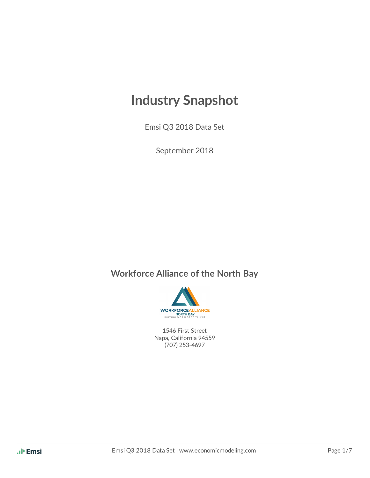# **Industry Snapshot**

Emsi Q3 2018 Data Set

September 2018

## **Workforce Alliance of the North Bay**



1546 First Street Napa, California 94559 (707) 253-4697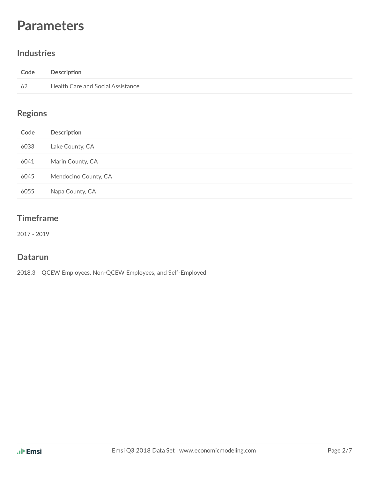## **Parameters**

#### **Industries**

| Code | Description                       |
|------|-----------------------------------|
| 62   | Health Care and Social Assistance |

## **Regions**

| Code | Description          |
|------|----------------------|
| 6033 | Lake County, CA      |
| 6041 | Marin County, CA     |
| 6045 | Mendocino County, CA |
| 6055 | Napa County, CA      |

#### **Timeframe**

2017 - 2019

#### **Datarun**

2018.3 – QCEW Employees, Non-QCEW Employees, and Self-Employed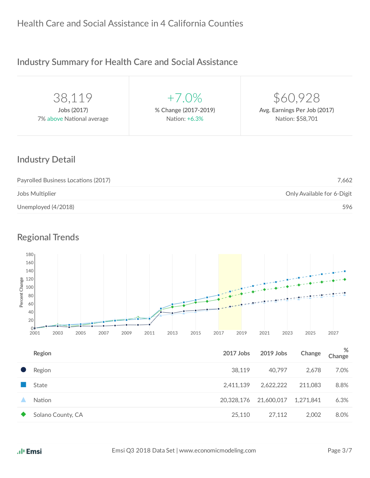## **Industry Summary for Health Care and Social Assistance**

| 38.119                    | $+7.0\%$             | \$60,928                     |
|---------------------------|----------------------|------------------------------|
| Jobs (2017)               | % Change (2017-2019) | Avg. Earnings Per Job (2017) |
| 7% above National average | Nation: +6.3%        | Nation: \$58,701             |
|                           |                      |                              |

#### **Industry Detail**

| Payrolled Business Locations (2017) | 7.662                      |
|-------------------------------------|----------------------------|
| Jobs Multiplier                     | Only Available for 6-Digit |
| Unemployed (4/2018)                 | 596                        |

## **Regional Trends**



| Region            | 2017 Jobs  | 2019 Jobs  | Change    | %<br>Change |
|-------------------|------------|------------|-----------|-------------|
| Region            | 38,119     | 40,797     | 2.678     | 7.0%        |
| State             | 2,411,139  | 2,622,222  | 211,083   | 8.8%        |
| <b>Nation</b>     | 20,328,176 | 21,600,017 | 1,271,841 | 6.3%        |
| Solano County, CA | 25,110     | 27,112     | 2.002     | 8.0%        |
|                   |            |            |           |             |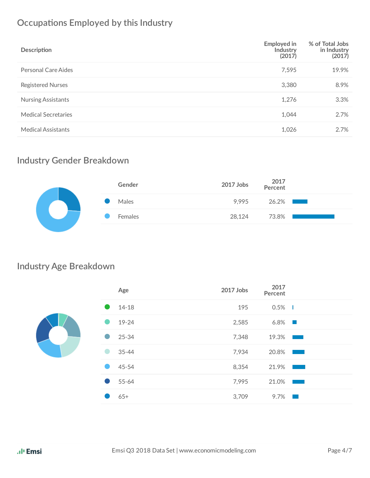## **Occupations Employed by this Industry**

| Description                | Employed in<br>Industry<br>(2017) | % of Total Jobs<br>in Industry<br>(2017) |
|----------------------------|-----------------------------------|------------------------------------------|
| Personal Care Aides        | 7,595                             | 19.9%                                    |
| <b>Registered Nurses</b>   | 3,380                             | 8.9%                                     |
| <b>Nursing Assistants</b>  | 1,276                             | 3.3%                                     |
| <b>Medical Secretaries</b> | 1,044                             | 2.7%                                     |
| <b>Medical Assistants</b>  | 1,026                             | 2.7%                                     |

## **Industry Gender Breakdown**

| Gender  | 2017 Jobs 2017<br>Percent |          |  |
|---------|---------------------------|----------|--|
| Males   | 9,995                     | $26.2\%$ |  |
| Females | 28,124                    | 73.8%    |  |
|         |                           |          |  |

## **Industry Age Breakdown**

|                | Age       | 2017 Jobs | 2017<br>Percent |                                                                                                                       |
|----------------|-----------|-----------|-----------------|-----------------------------------------------------------------------------------------------------------------------|
|                | $14 - 18$ | 195       | 0.5%            | - 1                                                                                                                   |
|                | 19-24     | 2,585     | $6.8\%$         |                                                                                                                       |
| $\blacksquare$ | $25 - 34$ | 7,348     | 19.3%           |                                                                                                                       |
|                | $35 - 44$ | 7,934     | 20.8%           | <b>Contract Contract Contract Contract Contract Contract Contract Contract Contract Contract Contract Contract Co</b> |
|                | 45-54     | 8,354     | 21.9%           | <b>Contract Contract Contract Contract Contract Contract Contract Contract Contract Contract Contract Contract Co</b> |
| $\bullet$      | 55-64     | 7,995     | 21.0%           |                                                                                                                       |
|                | $65+$     | 3,709     | 9.7%            | - 1                                                                                                                   |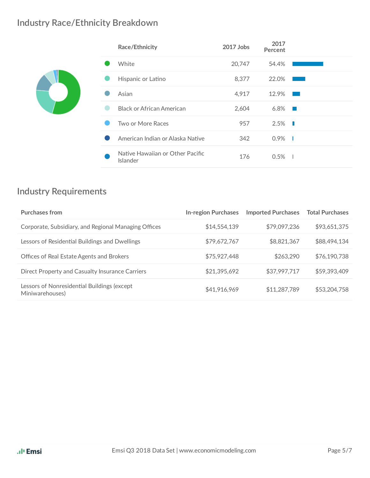## **Industry Race/Ethnicity Breakdown**

| Race/Ethnicity                               | 2017 Jobs | 2017<br>Percent |  |
|----------------------------------------------|-----------|-----------------|--|
| White                                        | 20,747    | 54.4%           |  |
| Hispanic or Latino                           | 8,377     | 22.0%           |  |
| Asian                                        | 4,917     | 12.9%           |  |
| <b>Black or African American</b>             | 2,604     | 6.8%            |  |
| Two or More Races                            | 957       | $2.5\%$         |  |
| American Indian or Alaska Native             | 342       | 0.9%<br>- 1     |  |
| Native Hawaiian or Other Pacific<br>Islander | 176       | 0.5%<br>п.      |  |

## **Industry Requirements**

| <b>Purchases from</b>                                          | <b>In-region Purchases</b> | <b>Imported Purchases</b> | <b>Total Purchases</b> |
|----------------------------------------------------------------|----------------------------|---------------------------|------------------------|
| Corporate, Subsidiary, and Regional Managing Offices           | \$14,554,139               | \$79,097,236              | \$93,651,375           |
| Lessors of Residential Buildings and Dwellings                 | \$79,672,767               | \$8,821,367               | \$88,494,134           |
| Offices of Real Estate Agents and Brokers                      | \$75,927,448               | \$263,290                 | \$76,190,738           |
| Direct Property and Casualty Insurance Carriers                | \$21,395,692               | \$37,997,717              | \$59,393,409           |
| Lessors of Nonresidential Buildings (except<br>Miniwarehouses) | \$41,916,969               | \$11,287,789              | \$53,204,758           |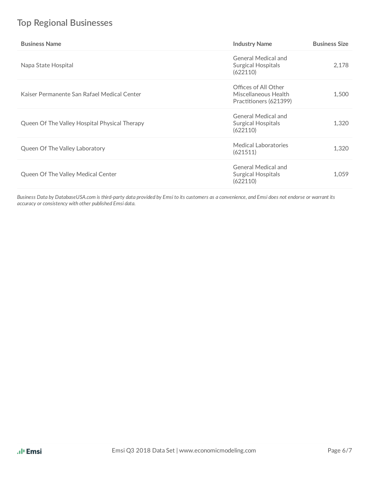## **Top Regional Businesses**

| <b>Business Name</b>                          | <b>Industry Name</b>                                                   | <b>Business Size</b> |
|-----------------------------------------------|------------------------------------------------------------------------|----------------------|
| Napa State Hospital                           | General Medical and<br><b>Surgical Hospitals</b><br>(622110)           | 2,178                |
| Kaiser Permanente San Rafael Medical Center   | Offices of All Other<br>Miscellaneous Health<br>Practitioners (621399) | 1,500                |
| Queen Of The Valley Hospital Physical Therapy | General Medical and<br><b>Surgical Hospitals</b><br>(622110)           | 1,320                |
| Queen Of The Valley Laboratory                | Medical Laboratories<br>(621511)                                       | 1,320                |
| Queen Of The Valley Medical Center            | General Medical and<br>Surgical Hospitals<br>(622110)                  | 1,059                |

Business Data by DatabaseUSA.com is third-party data provided by Emsi to its customers as a convenience, and Emsi does not endorse or warrant its *accuracy or consistency with other published Emsi data.*